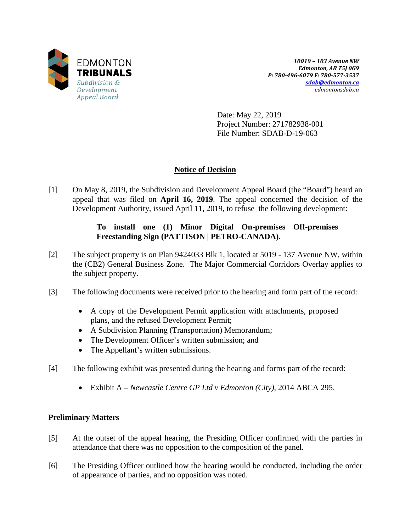

*10019 – 103 Avenue NW Edmonton, AB T5J 0G9 P: 780-496-6079 F: 780-577-3537 [sdab@edmonton.ca](mailto:sdab@edmonton.ca) edmontonsdab.ca*

Date: May 22, 2019 Project Number: 271782938-001 File Number: SDAB-D-19-063

# **Notice of Decision**

[1] On May 8, 2019, the Subdivision and Development Appeal Board (the "Board") heard an appeal that was filed on **April 16, 2019**. The appeal concerned the decision of the Development Authority, issued April 11, 2019, to refuse the following development:

# **To install one (1) Minor Digital On-premises Off-premises Freestanding Sign (PATTISON | PETRO-CANADA).**

- [2] The subject property is on Plan 9424033 Blk 1, located at 5019 137 Avenue NW, within the (CB2) General Business Zone. The Major Commercial Corridors Overlay applies to the subject property.
- [3] The following documents were received prior to the hearing and form part of the record:
	- A copy of the Development Permit application with attachments, proposed plans, and the refused Development Permit;
	- A Subdivision Planning (Transportation) Memorandum;
	- The Development Officer's written submission; and
	- The Appellant's written submissions.
- [4] The following exhibit was presented during the hearing and forms part of the record:
	- Exhibit A *Newcastle Centre GP Ltd v Edmonton (City)*, 2014 ABCA 295.

# **Preliminary Matters**

- [5] At the outset of the appeal hearing, the Presiding Officer confirmed with the parties in attendance that there was no opposition to the composition of the panel.
- [6] The Presiding Officer outlined how the hearing would be conducted, including the order of appearance of parties, and no opposition was noted.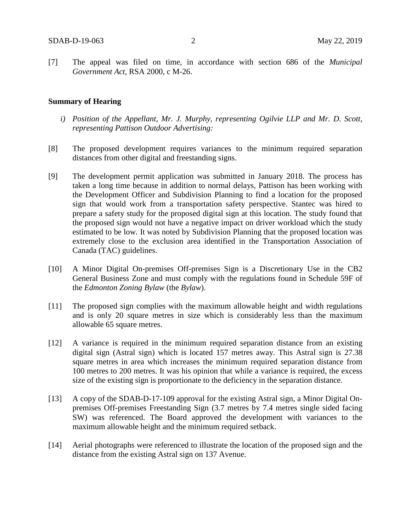[7] The appeal was filed on time, in accordance with section 686 of the *Municipal Government Act*, RSA 2000, c M-26.

#### **Summary of Hearing**

- *i) Position of the Appellant, Mr. J. Murphy, representing Ogilvie LLP and Mr. D. Scott, representing Pattison Outdoor Advertising:*
- [8] The proposed development requires variances to the minimum required separation distances from other digital and freestanding signs.
- [9] The development permit application was submitted in January 2018. The process has taken a long time because in addition to normal delays, Pattison has been working with the Development Officer and Subdivision Planning to find a location for the proposed sign that would work from a transportation safety perspective. Stantec was hired to prepare a safety study for the proposed digital sign at this location. The study found that the proposed sign would not have a negative impact on driver workload which the study estimated to be low. It was noted by Subdivision Planning that the proposed location was extremely close to the exclusion area identified in the Transportation Association of Canada (TAC) guidelines.
- [10] A Minor Digital On-premises Off-premises Sign is a Discretionary Use in the CB2 General Business Zone and must comply with the regulations found in Schedule 59F of the *Edmonton Zoning Bylaw* (the *Bylaw*).
- [11] The proposed sign complies with the maximum allowable height and width regulations and is only 20 square metres in size which is considerably less than the maximum allowable 65 square metres.
- [12] A variance is required in the minimum required separation distance from an existing digital sign (Astral sign) which is located 157 metres away. This Astral sign is 27.38 square metres in area which increases the minimum required separation distance from 100 metres to 200 metres. It was his opinion that while a variance is required, the excess size of the existing sign is proportionate to the deficiency in the separation distance.
- [13] A copy of the SDAB-D-17-109 approval for the existing Astral sign, a Minor Digital Onpremises Off-premises Freestanding Sign (3.7 metres by 7.4 metres single sided facing SW) was referenced. The Board approved the development with variances to the maximum allowable height and the minimum required setback.
- [14] Aerial photographs were referenced to illustrate the location of the proposed sign and the distance from the existing Astral sign on 137 Avenue.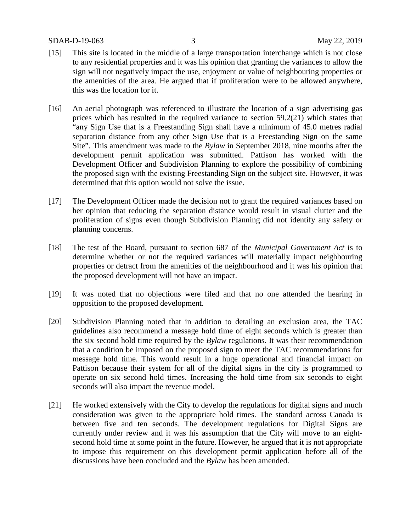- [15] This site is located in the middle of a large transportation interchange which is not close to any residential properties and it was his opinion that granting the variances to allow the sign will not negatively impact the use, enjoyment or value of neighbouring properties or the amenities of the area. He argued that if proliferation were to be allowed anywhere, this was the location for it.
- [16] An aerial photograph was referenced to illustrate the location of a sign advertising gas prices which has resulted in the required variance to section 59.2(21) which states that "any Sign Use that is a Freestanding Sign shall have a minimum of 45.0 metres radial separation distance from any other Sign Use that is a Freestanding Sign on the same Site". This amendment was made to the *Bylaw* in September 2018, nine months after the development permit application was submitted. Pattison has worked with the Development Officer and Subdivision Planning to explore the possibility of combining the proposed sign with the existing Freestanding Sign on the subject site. However, it was determined that this option would not solve the issue.
- [17] The Development Officer made the decision not to grant the required variances based on her opinion that reducing the separation distance would result in visual clutter and the proliferation of signs even though Subdivision Planning did not identify any safety or planning concerns.
- [18] The test of the Board, pursuant to section 687 of the *Municipal Government Act* is to determine whether or not the required variances will materially impact neighbouring properties or detract from the amenities of the neighbourhood and it was his opinion that the proposed development will not have an impact.
- [19] It was noted that no objections were filed and that no one attended the hearing in opposition to the proposed development.
- [20] Subdivision Planning noted that in addition to detailing an exclusion area, the TAC guidelines also recommend a message hold time of eight seconds which is greater than the six second hold time required by the *Bylaw* regulations. It was their recommendation that a condition be imposed on the proposed sign to meet the TAC recommendations for message hold time. This would result in a huge operational and financial impact on Pattison because their system for all of the digital signs in the city is programmed to operate on six second hold times. Increasing the hold time from six seconds to eight seconds will also impact the revenue model.
- [21] He worked extensively with the City to develop the regulations for digital signs and much consideration was given to the appropriate hold times. The standard across Canada is between five and ten seconds. The development regulations for Digital Signs are currently under review and it was his assumption that the City will move to an eightsecond hold time at some point in the future. However, he argued that it is not appropriate to impose this requirement on this development permit application before all of the discussions have been concluded and the *Bylaw* has been amended.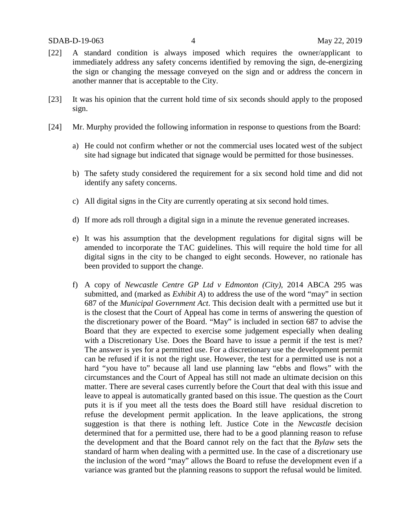- [22] A standard condition is always imposed which requires the owner/applicant to immediately address any safety concerns identified by removing the sign, de-energizing the sign or changing the message conveyed on the sign and or address the concern in another manner that is acceptable to the City.
- [23] It was his opinion that the current hold time of six seconds should apply to the proposed sign.
- [24] Mr. Murphy provided the following information in response to questions from the Board:
	- a) He could not confirm whether or not the commercial uses located west of the subject site had signage but indicated that signage would be permitted for those businesses.
	- b) The safety study considered the requirement for a six second hold time and did not identify any safety concerns.
	- c) All digital signs in the City are currently operating at six second hold times.
	- d) If more ads roll through a digital sign in a minute the revenue generated increases.
	- e) It was his assumption that the development regulations for digital signs will be amended to incorporate the TAC guidelines. This will require the hold time for all digital signs in the city to be changed to eight seconds. However, no rationale has been provided to support the change.
	- f) A copy of *Newcastle Centre GP Ltd v Edmonton (City)*, 2014 ABCA 295 was submitted, and (marked as *Exhibit A*) to address the use of the word "may" in section 687 of the *Municipal Government Act*. This decision dealt with a permitted use but it is the closest that the Court of Appeal has come in terms of answering the question of the discretionary power of the Board. "May" is included in section 687 to advise the Board that they are expected to exercise some judgement especially when dealing with a Discretionary Use. Does the Board have to issue a permit if the test is met? The answer is yes for a permitted use. For a discretionary use the development permit can be refused if it is not the right use. However, the test for a permitted use is not a hard "you have to" because all land use planning law "ebbs and flows" with the circumstances and the Court of Appeal has still not made an ultimate decision on this matter. There are several cases currently before the Court that deal with this issue and leave to appeal is automatically granted based on this issue. The question as the Court puts it is if you meet all the tests does the Board still have residual discretion to refuse the development permit application. In the leave applications, the strong suggestion is that there is nothing left. Justice Cote in the *Newcastle* decision determined that for a permitted use, there had to be a good planning reason to refuse the development and that the Board cannot rely on the fact that the *Bylaw* sets the standard of harm when dealing with a permitted use. In the case of a discretionary use the inclusion of the word "may" allows the Board to refuse the development even if a variance was granted but the planning reasons to support the refusal would be limited.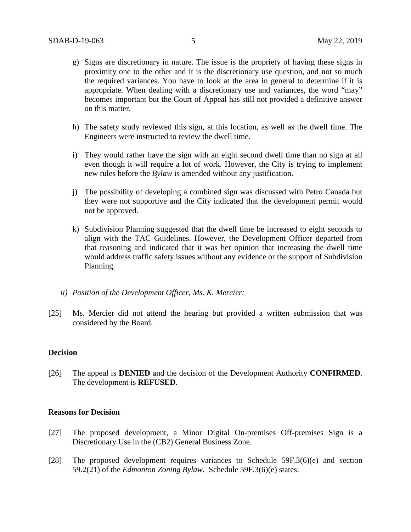- g) Signs are discretionary in nature. The issue is the propriety of having these signs in proximity one to the other and it is the discretionary use question, and not so much the required variances. You have to look at the area in general to determine if it is appropriate. When dealing with a discretionary use and variances, the word "may" becomes important but the Court of Appeal has still not provided a definitive answer on this matter.
- h) The safety study reviewed this sign, at this location, as well as the dwell time. The Engineers were instructed to review the dwell time.
- i) They would rather have the sign with an eight second dwell time than no sign at all even though it will require a lot of work. However, the City is trying to implement new rules before the *Bylaw* is amended without any justification.
- j) The possibility of developing a combined sign was discussed with Petro Canada but they were not supportive and the City indicated that the development permit would not be approved.
- k) Subdivision Planning suggested that the dwell time be increased to eight seconds to align with the TAC Guidelines. However, the Development Officer departed from that reasoning and indicated that it was her opinion that increasing the dwell time would address traffic safety issues without any evidence or the support of Subdivision Planning.
- *ii) Position of the Development Officer, Ms. K. Mercier:*
- [25] Ms. Mercier did not attend the hearing but provided a written submission that was considered by the Board.

### **Decision**

[26] The appeal is **DENIED** and the decision of the Development Authority **CONFIRMED**. The development is **REFUSED**.

#### **Reasons for Decision**

- [27] The proposed development, a Minor Digital On-premises Off-premises Sign is a Discretionary Use in the (CB2) General Business Zone.
- [28] The proposed development requires variances to Schedule 59F.3(6)(e) and section 59.2(21) of the *Edmonton Zoning Bylaw.* Schedule 59F.3(6)(e) states: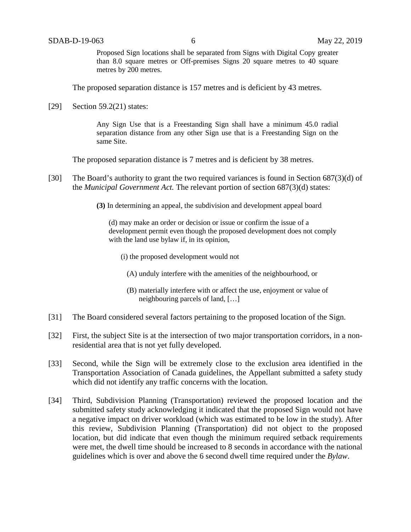Proposed Sign locations shall be separated from Signs with Digital Copy greater than 8.0 square metres or Off-premises Signs 20 square metres to 40 square metres by 200 metres.

The proposed separation distance is 157 metres and is deficient by 43 metres.

[29] Section 59.2(21) states:

Any Sign Use that is a Freestanding Sign shall have a minimum 45.0 radial separation distance from any other Sign use that is a Freestanding Sign on the same Site.

The proposed separation distance is 7 metres and is deficient by 38 metres.

- [30] The Board's authority to grant the two required variances is found in Section 687(3)(d) of the *Municipal Government Act.* The relevant portion of section 687(3)(d) states:
	- **(3)** In determining an appeal, the subdivision and development appeal board

(d) may make an order or decision or issue or confirm the issue of a development permit even though the proposed development does not comply with the land use bylaw if, in its opinion,

- (i) the proposed development would not
	- (A) unduly interfere with the amenities of the neighbourhood, or
	- (B) materially interfere with or affect the use, enjoyment or value of neighbouring parcels of land, […]
- [31] The Board considered several factors pertaining to the proposed location of the Sign.
- [32] First, the subject Site is at the intersection of two major transportation corridors, in a nonresidential area that is not yet fully developed.
- [33] Second, while the Sign will be extremely close to the exclusion area identified in the Transportation Association of Canada guidelines, the Appellant submitted a safety study which did not identify any traffic concerns with the location.
- [34] Third, Subdivision Planning (Transportation) reviewed the proposed location and the submitted safety study acknowledging it indicated that the proposed Sign would not have a negative impact on driver workload (which was estimated to be low in the study). After this review, Subdivision Planning (Transportation) did not object to the proposed location, but did indicate that even though the minimum required setback requirements were met, the dwell time should be increased to 8 seconds in accordance with the national guidelines which is over and above the 6 second dwell time required under the *Bylaw*.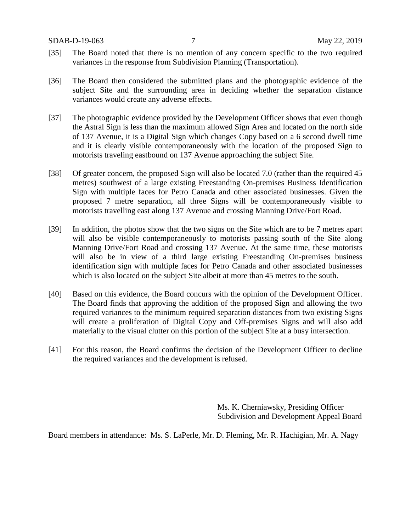SDAB-D-19-063 7 May 22, 2019

- [35] The Board noted that there is no mention of any concern specific to the two required variances in the response from Subdivision Planning (Transportation).
- [36] The Board then considered the submitted plans and the photographic evidence of the subject Site and the surrounding area in deciding whether the separation distance variances would create any adverse effects.
- [37] The photographic evidence provided by the Development Officer shows that even though the Astral Sign is less than the maximum allowed Sign Area and located on the north side of 137 Avenue, it is a Digital Sign which changes Copy based on a 6 second dwell time and it is clearly visible contemporaneously with the location of the proposed Sign to motorists traveling eastbound on 137 Avenue approaching the subject Site.
- [38] Of greater concern, the proposed Sign will also be located 7.0 (rather than the required 45 metres) southwest of a large existing Freestanding On-premises Business Identification Sign with multiple faces for Petro Canada and other associated businesses. Given the proposed 7 metre separation, all three Signs will be contemporaneously visible to motorists travelling east along 137 Avenue and crossing Manning Drive/Fort Road.
- [39] In addition, the photos show that the two signs on the Site which are to be 7 metres apart will also be visible contemporaneously to motorists passing south of the Site along Manning Drive/Fort Road and crossing 137 Avenue. At the same time, these motorists will also be in view of a third large existing Freestanding On-premises business identification sign with multiple faces for Petro Canada and other associated businesses which is also located on the subject Site albeit at more than 45 metres to the south.
- [40] Based on this evidence, the Board concurs with the opinion of the Development Officer. The Board finds that approving the addition of the proposed Sign and allowing the two required variances to the minimum required separation distances from two existing Signs will create a proliferation of Digital Copy and Off-premises Signs and will also add materially to the visual clutter on this portion of the subject Site at a busy intersection.
- [41] For this reason, the Board confirms the decision of the Development Officer to decline the required variances and the development is refused.

Ms. K. Cherniawsky, Presiding Officer Subdivision and Development Appeal Board

Board members in attendance: Ms. S. LaPerle, Mr. D. Fleming, Mr. R. Hachigian, Mr. A. Nagy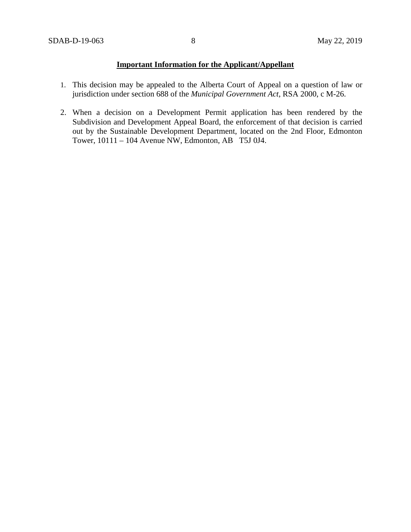## **Important Information for the Applicant/Appellant**

- 1. This decision may be appealed to the Alberta Court of Appeal on a question of law or jurisdiction under section 688 of the *Municipal Government Act*, RSA 2000, c M-26.
- 2. When a decision on a Development Permit application has been rendered by the Subdivision and Development Appeal Board, the enforcement of that decision is carried out by the Sustainable Development Department, located on the 2nd Floor, Edmonton Tower, 10111 – 104 Avenue NW, Edmonton, AB T5J 0J4.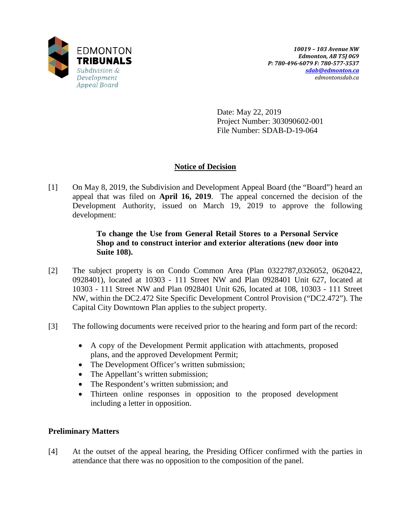

Date: May 22, 2019 Project Number: 303090602-001 File Number: SDAB-D-19-064

# **Notice of Decision**

[1] On May 8, 2019, the Subdivision and Development Appeal Board (the "Board") heard an appeal that was filed on **April 16, 2019**. The appeal concerned the decision of the Development Authority, issued on March 19, 2019 to approve the following development:

## **To change the Use from General Retail Stores to a Personal Service Shop and to construct interior and exterior alterations (new door into Suite 108).**

- [2] The subject property is on Condo Common Area (Plan 0322787,0326052, 0620422, 0928401), located at 10303 - 111 Street NW and Plan 0928401 Unit 627, located at 10303 - 111 Street NW and Plan 0928401 Unit 626, located at 108, 10303 - 111 Street NW, within the DC2.472 Site Specific Development Control Provision ("DC2.472"). The Capital City Downtown Plan applies to the subject property.
- [3] The following documents were received prior to the hearing and form part of the record:
	- A copy of the Development Permit application with attachments, proposed plans, and the approved Development Permit;
	- The Development Officer's written submission;
	- The Appellant's written submission;
	- The Respondent's written submission; and
	- Thirteen online responses in opposition to the proposed development including a letter in opposition.

## **Preliminary Matters**

[4] At the outset of the appeal hearing, the Presiding Officer confirmed with the parties in attendance that there was no opposition to the composition of the panel.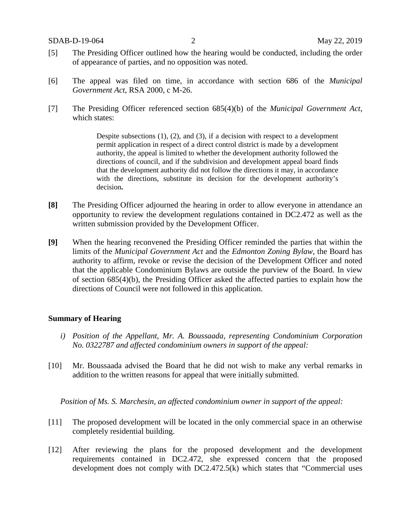- [5] The Presiding Officer outlined how the hearing would be conducted, including the order of appearance of parties, and no opposition was noted.
- [6] The appeal was filed on time, in accordance with section 686 of the *Municipal Government Act*, RSA 2000, c M-26.
- [7] The Presiding Officer referenced section 685(4)(b) of the *Municipal Government Act*, which states:

Despite subsections  $(1)$ ,  $(2)$ , and  $(3)$ , if a decision with respect to a development permit application in respect of a direct control district is made by a development authority, the appeal is limited to whether the development authority followed the directions of council, and if the subdivision and development appeal board finds that the development authority did not follow the directions it may, in accordance with the directions, substitute its decision for the development authority's decision**.** 

- **[8]** The Presiding Officer adjourned the hearing in order to allow everyone in attendance an opportunity to review the development regulations contained in DC2.472 as well as the written submission provided by the Development Officer.
- **[9]** When the hearing reconvened the Presiding Officer reminded the parties that within the limits of the *Municipal Government Act* and the *Edmonton Zoning Bylaw*, the Board has authority to affirm, revoke or revise the decision of the Development Officer and noted that the applicable Condominium Bylaws are outside the purview of the Board. In view of section 685(4)(b), the Presiding Officer asked the affected parties to explain how the directions of Council were not followed in this application.

### **Summary of Hearing**

- *i) Position of the Appellant, Mr. A. Boussaada, representing Condominium Corporation No. 0322787 and affected condominium owners in support of the appeal:*
- [10] Mr. Boussaada advised the Board that he did not wish to make any verbal remarks in addition to the written reasons for appeal that were initially submitted.

*Position of Ms. S. Marchesin, an affected condominium owner in support of the appeal:*

- [11] The proposed development will be located in the only commercial space in an otherwise completely residential building.
- [12] After reviewing the plans for the proposed development and the development requirements contained in DC2.472, she expressed concern that the proposed development does not comply with DC2.472.5(k) which states that "Commercial uses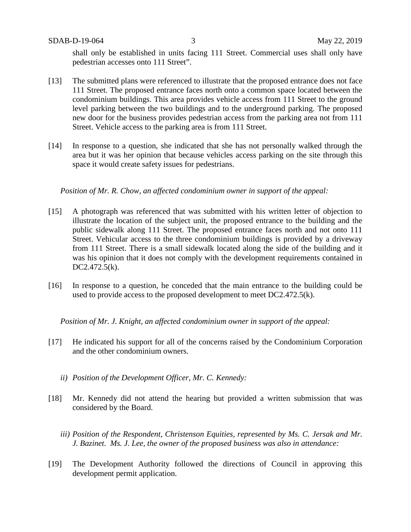SDAB-D-19-064 3 May 22, 2019

shall only be established in units facing 111 Street. Commercial uses shall only have pedestrian accesses onto 111 Street".

- [13] The submitted plans were referenced to illustrate that the proposed entrance does not face 111 Street. The proposed entrance faces north onto a common space located between the condominium buildings. This area provides vehicle access from 111 Street to the ground level parking between the two buildings and to the underground parking. The proposed new door for the business provides pedestrian access from the parking area not from 111 Street. Vehicle access to the parking area is from 111 Street.
- [14] In response to a question, she indicated that she has not personally walked through the area but it was her opinion that because vehicles access parking on the site through this space it would create safety issues for pedestrians.

*Position of Mr. R. Chow, an affected condominium owner in support of the appeal:*

- [15] A photograph was referenced that was submitted with his written letter of objection to illustrate the location of the subject unit, the proposed entrance to the building and the public sidewalk along 111 Street. The proposed entrance faces north and not onto 111 Street. Vehicular access to the three condominium buildings is provided by a driveway from 111 Street. There is a small sidewalk located along the side of the building and it was his opinion that it does not comply with the development requirements contained in DC2.472.5(k).
- [16] In response to a question, he conceded that the main entrance to the building could be used to provide access to the proposed development to meet DC2.472.5(k).

*Position of Mr. J. Knight, an affected condominium owner in support of the appeal:*

- [17] He indicated his support for all of the concerns raised by the Condominium Corporation and the other condominium owners.
	- *ii) Position of the Development Officer, Mr. C. Kennedy:*
- [18] Mr. Kennedy did not attend the hearing but provided a written submission that was considered by the Board.
	- *iii) Position of the Respondent, Christenson Equities, represented by Ms. C. Jersak and Mr. J. Bazinet. Ms. J. Lee, the owner of the proposed business was also in attendance:*
- [19] The Development Authority followed the directions of Council in approving this development permit application.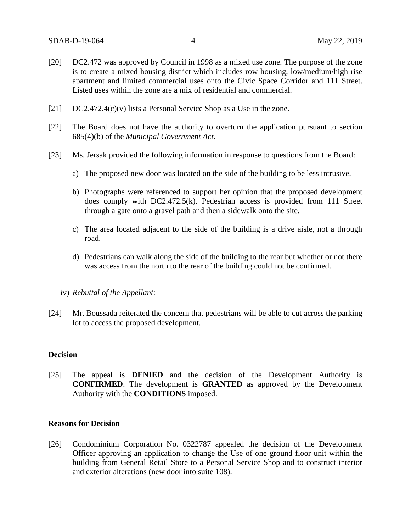- [20] DC2.472 was approved by Council in 1998 as a mixed use zone. The purpose of the zone is to create a mixed housing district which includes row housing, low/medium/high rise apartment and limited commercial uses onto the Civic Space Corridor and 111 Street. Listed uses within the zone are a mix of residential and commercial.
- $[21]$  DC2.472.4(c)(v) lists a Personal Service Shop as a Use in the zone.
- [22] The Board does not have the authority to overturn the application pursuant to section 685(4)(b) of the *Municipal Government Act*.
- [23] Ms. Jersak provided the following information in response to questions from the Board:
	- a) The proposed new door was located on the side of the building to be less intrusive.
	- b) Photographs were referenced to support her opinion that the proposed development does comply with DC2.472.5(k). Pedestrian access is provided from 111 Street through a gate onto a gravel path and then a sidewalk onto the site.
	- c) The area located adjacent to the side of the building is a drive aisle, not a through road.
	- d) Pedestrians can walk along the side of the building to the rear but whether or not there was access from the north to the rear of the building could not be confirmed.
	- iv) *Rebuttal of the Appellant:*
- [24] Mr. Boussada reiterated the concern that pedestrians will be able to cut across the parking lot to access the proposed development.

### **Decision**

[25] The appeal is **DENIED** and the decision of the Development Authority is **CONFIRMED**. The development is **GRANTED** as approved by the Development Authority with the **CONDITIONS** imposed.

### **Reasons for Decision**

[26] Condominium Corporation No. 0322787 appealed the decision of the Development Officer approving an application to change the Use of one ground floor unit within the building from General Retail Store to a Personal Service Shop and to construct interior and exterior alterations (new door into suite 108).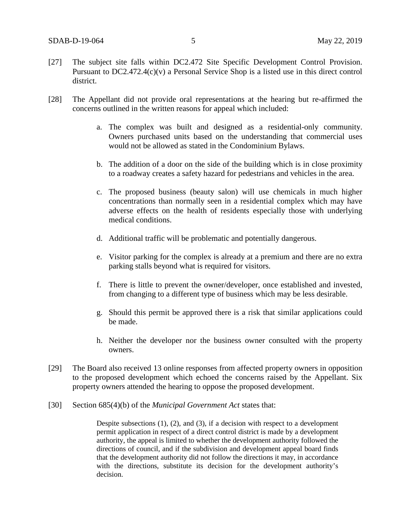- [27] The subject site falls within DC2.472 Site Specific Development Control Provision. Pursuant to DC2.472.4(c)(v) a Personal Service Shop is a listed use in this direct control district.
- [28] The Appellant did not provide oral representations at the hearing but re-affirmed the concerns outlined in the written reasons for appeal which included:
	- a. The complex was built and designed as a residential-only community. Owners purchased units based on the understanding that commercial uses would not be allowed as stated in the Condominium Bylaws.
	- b. The addition of a door on the side of the building which is in close proximity to a roadway creates a safety hazard for pedestrians and vehicles in the area.
	- c. The proposed business (beauty salon) will use chemicals in much higher concentrations than normally seen in a residential complex which may have adverse effects on the health of residents especially those with underlying medical conditions.
	- d. Additional traffic will be problematic and potentially dangerous.
	- e. Visitor parking for the complex is already at a premium and there are no extra parking stalls beyond what is required for visitors.
	- f. There is little to prevent the owner/developer, once established and invested, from changing to a different type of business which may be less desirable.
	- g. Should this permit be approved there is a risk that similar applications could be made.
	- h. Neither the developer nor the business owner consulted with the property owners.
- [29] The Board also received 13 online responses from affected property owners in opposition to the proposed development which echoed the concerns raised by the Appellant. Six property owners attended the hearing to oppose the proposed development.
- [30] Section 685(4)(b) of the *Municipal Government Act* states that:

Despite subsections  $(1)$ ,  $(2)$ , and  $(3)$ , if a decision with respect to a development permit application in respect of a direct control district is made by a development authority, the appeal is limited to whether the development authority followed the directions of council, and if the subdivision and development appeal board finds that the development authority did not follow the directions it may, in accordance with the directions, substitute its decision for the development authority's decision.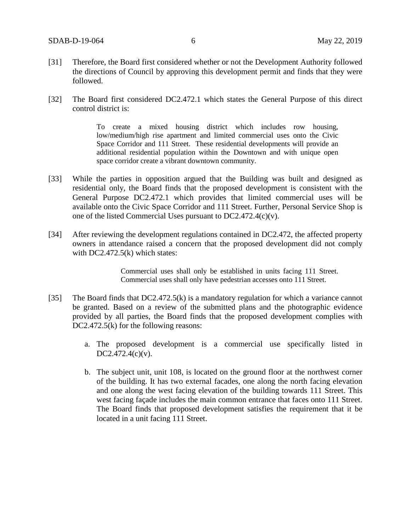- [31] Therefore, the Board first considered whether or not the Development Authority followed the directions of Council by approving this development permit and finds that they were followed.
- [32] The Board first considered DC2.472.1 which states the General Purpose of this direct control district is:

To create a mixed housing district which includes row housing, low/medium/high rise apartment and limited commercial uses onto the Civic Space Corridor and 111 Street. These residential developments will provide an additional residential population within the Downtown and with unique open space corridor create a vibrant downtown community.

- [33] While the parties in opposition argued that the Building was built and designed as residential only, the Board finds that the proposed development is consistent with the General Purpose DC2.472.1 which provides that limited commercial uses will be available onto the Civic Space Corridor and 111 Street. Further, Personal Service Shop is one of the listed Commercial Uses pursuant to DC2.472.4(c)(v).
- [34] After reviewing the development regulations contained in DC2.472, the affected property owners in attendance raised a concern that the proposed development did not comply with DC2.472.5(k) which states:

Commercial uses shall only be established in units facing 111 Street. Commercial uses shall only have pedestrian accesses onto 111 Street.

- [35] The Board finds that DC2.472.5(k) is a mandatory regulation for which a variance cannot be granted. Based on a review of the submitted plans and the photographic evidence provided by all parties, the Board finds that the proposed development complies with DC2.472.5(k) for the following reasons:
	- a. The proposed development is a commercial use specifically listed in DC2.472.4(c)(v).
	- b. The subject unit, unit 108, is located on the ground floor at the northwest corner of the building. It has two external facades, one along the north facing elevation and one along the west facing elevation of the building towards 111 Street. This west facing façade includes the main common entrance that faces onto 111 Street. The Board finds that proposed development satisfies the requirement that it be located in a unit facing 111 Street.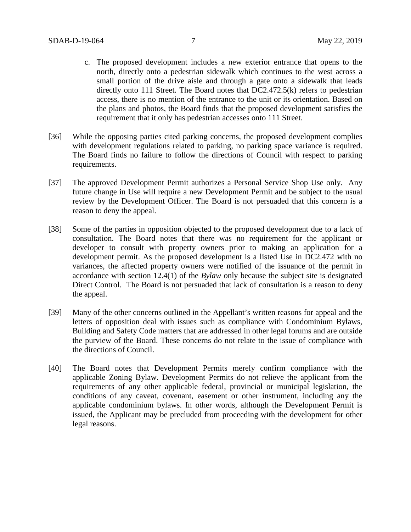- c. The proposed development includes a new exterior entrance that opens to the north, directly onto a pedestrian sidewalk which continues to the west across a small portion of the drive aisle and through a gate onto a sidewalk that leads directly onto 111 Street. The Board notes that DC2.472.5(k) refers to pedestrian access, there is no mention of the entrance to the unit or its orientation. Based on the plans and photos, the Board finds that the proposed development satisfies the requirement that it only has pedestrian accesses onto 111 Street.
- [36] While the opposing parties cited parking concerns, the proposed development complies with development regulations related to parking, no parking space variance is required. The Board finds no failure to follow the directions of Council with respect to parking requirements.
- [37] The approved Development Permit authorizes a Personal Service Shop Use only. Any future change in Use will require a new Development Permit and be subject to the usual review by the Development Officer. The Board is not persuaded that this concern is a reason to deny the appeal.
- [38] Some of the parties in opposition objected to the proposed development due to a lack of consultation. The Board notes that there was no requirement for the applicant or developer to consult with property owners prior to making an application for a development permit. As the proposed development is a listed Use in DC2.472 with no variances, the affected property owners were notified of the issuance of the permit in accordance with section 12.4(1) of the *Bylaw* only because the subject site is designated Direct Control. The Board is not persuaded that lack of consultation is a reason to deny the appeal.
- [39] Many of the other concerns outlined in the Appellant's written reasons for appeal and the letters of opposition deal with issues such as compliance with Condominium Bylaws, Building and Safety Code matters that are addressed in other legal forums and are outside the purview of the Board. These concerns do not relate to the issue of compliance with the directions of Council.
- [40] The Board notes that Development Permits merely confirm compliance with the applicable Zoning Bylaw. Development Permits do not relieve the applicant from the requirements of any other applicable federal, provincial or municipal legislation, the conditions of any caveat, covenant, easement or other instrument, including any the applicable condominium bylaws. In other words, although the Development Permit is issued, the Applicant may be precluded from proceeding with the development for other legal reasons.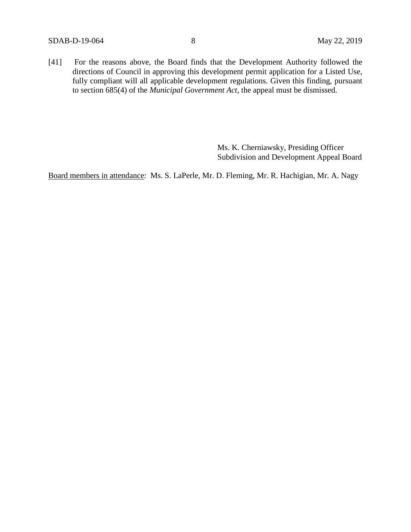[41] For the reasons above, the Board finds that the Development Authority followed the directions of Council in approving this development permit application for a Listed Use, fully compliant will all applicable development regulations. Given this finding, pursuant to section 685(4) of the *Municipal Government Act*, the appeal must be dismissed.

> Ms. K. Cherniawsky, Presiding Officer Subdivision and Development Appeal Board

Board members in attendance: Ms. S. LaPerle, Mr. D. Fleming, Mr. R. Hachigian, Mr. A. Nagy